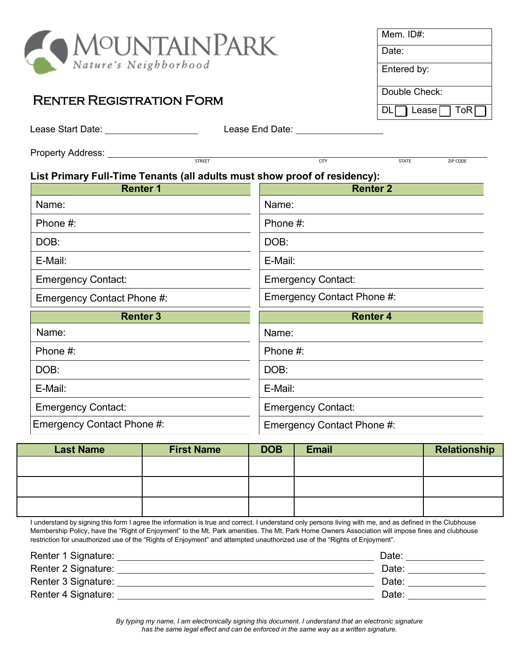

## Renter Registration Form

| Mem. ID#:                 |
|---------------------------|
| Date:                     |
| Entered by:               |
| Double Check:             |
| ToR<br>Lease $\Box$<br>DL |

Lease End Date: Lease End Date:

STREET EXAMPLE AND THE CITY CITY CODE STATE STATE STATE STATE STATE STATE STATE STATE STATE STATE STATE STATE STATE STATE STATE STATE STATE STATE STATE STATE STATE STATE STATE STATE STATE STATE STATE STATE STATE STATE STAT

Property Address:

## **List Primary Full-Time Tenants (all adults must show proof of residency):**

| <b>Renter 1</b>            | <b>Renter 2</b>            |  |
|----------------------------|----------------------------|--|
| Name:                      | Name:                      |  |
| Phone #:                   | Phone #:                   |  |
| DOB:                       | DOB:                       |  |
| E-Mail:                    | E-Mail:                    |  |
| <b>Emergency Contact:</b>  | <b>Emergency Contact:</b>  |  |
| Emergency Contact Phone #: | Emergency Contact Phone #: |  |
|                            |                            |  |
| <b>Renter 3</b>            | <b>Renter 4</b>            |  |
| Name:                      | Name:                      |  |
| Phone #:                   | Phone #:                   |  |
| DOB:                       | DOB:                       |  |
| E-Mail:                    | E-Mail:                    |  |
| <b>Emergency Contact:</b>  | <b>Emergency Contact:</b>  |  |

| <b>Last Name</b> | <b>First Name</b> | <b>DOB</b> | <b>Email</b> | Relationship |
|------------------|-------------------|------------|--------------|--------------|
|                  |                   |            |              |              |
|                  |                   |            |              |              |
|                  |                   |            |              |              |
|                  |                   |            |              |              |
|                  |                   |            |              |              |
|                  |                   |            |              |              |

I understand by signing this form I agree the information is true and correct. I understand only persons living with me, and as defined in the Clubhouse Membership Policy, have the "Right of Enjoyment" to the Mt. Park amenities. The Mt. Park Home Owners Association will impose fines and clubhouse restriction for unauthorized use of the "Rights of Enjoyment" and attempted unauthorized use of the "Rights of Enjoyment".

| Renter 1 Signature: | Date: |
|---------------------|-------|
| Renter 2 Signature: | Date: |
| Renter 3 Signature: | Date: |
| Renter 4 Signature: | Date: |

*By typing my name, I am electronically signing this document. I understand that an electronic signature has the same legal effect and can be enforced in the same way as a written signature.*